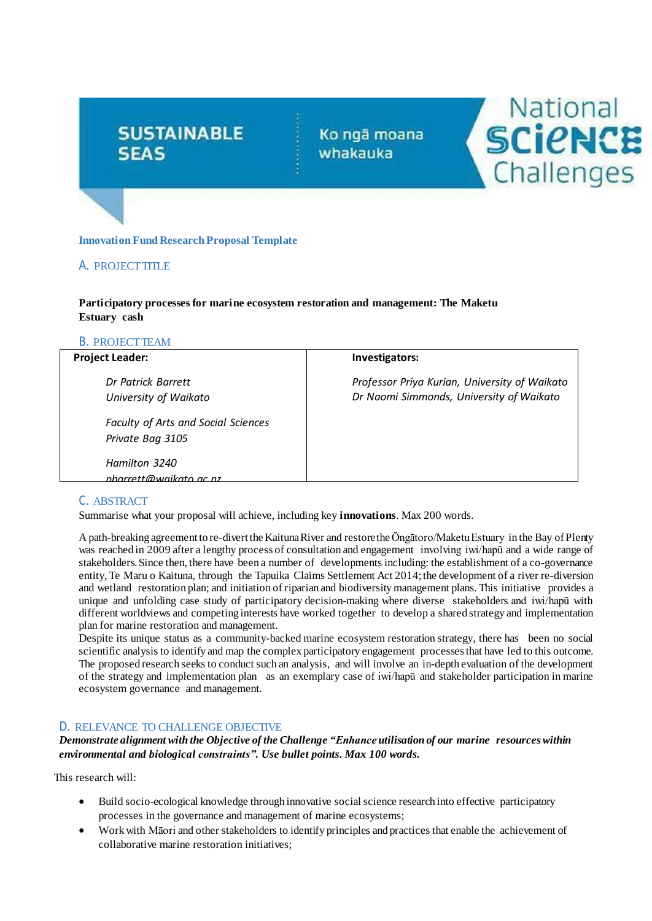# **SUSTAINABLE SEAS**

# **Innovation Fund Research Proposal Template**

# A. PROJECTTITLE

#### **Participatory processes for marine ecosystem restoration and management: The Maketu Estuary cash**

## B. PROJECTTEAM

| <b>Project Leader:</b>                                         | Investigators:                                                                            |
|----------------------------------------------------------------|-------------------------------------------------------------------------------------------|
| Dr Patrick Barrett<br>University of Waikato                    | Professor Priya Kurian, University of Waikato<br>Dr Naomi Simmonds, University of Waikato |
| <b>Faculty of Arts and Social Sciences</b><br>Private Bag 3105 |                                                                                           |
| Hamilton 3240<br>nharrett@waikato ac nz                        |                                                                                           |

Ko ngā moana

whakauka

National

SCIENCE

Challenges

#### C. ABSTRACT

Summarise what your proposal will achieve, including key **innovations**. Max 200 words.

A path-breaking agreement to re-divertthe KaitunaRiver and restorethe Ōngātoro/Maketu Estuary in the Bay of Plenty was reached in 2009 after a lengthy process of consultation and engagement involving iwi/hapū and a wide range of stakeholders.Since then, there have been a number of developments including: the establishment of a co-governance entity, Te Maru o Kaituna, through the Tapuika Claims Settlement Act 2014;the development of a river re-diversion and wetland restoration plan; and initiation of riparian and biodiversity management plans. This initiative provides a unique and unfolding case study of participatory decision-making where diverse stakeholders and iwi/hapū with different worldviews and competing interests have worked together to develop a shared strategy and implementation plan for marine restoration and management.

Despite its unique status as a community-backed marine ecosystem restoration strategy, there has been no social scientific analysis to identify and map the complex participatory engagement processesthat have led to this outcome. The proposed research seeks to conduct such an analysis, and will involve an in-depth evaluation of the development of the strategy and implementation plan as an exemplary case of iwi/hapū and stakeholder participation in marine ecosystem governance and management.

#### D. RELEVANCE TO CHALLENGE OBJECTIVE

#### *Demonstrate alignment with the Objective of the Challenge "Enhance utilisation of our marine resourceswithin environmental and biological constraints". Use bullet points. Max 100 words.*

This research will:

- Build socio-ecological knowledge through innovative social science research into effective participatory processes in the governance and management of marine ecosystems;
- Work with Māori and other stakeholders to identify principles and practices that enable the achievement of collaborative marine restoration initiatives;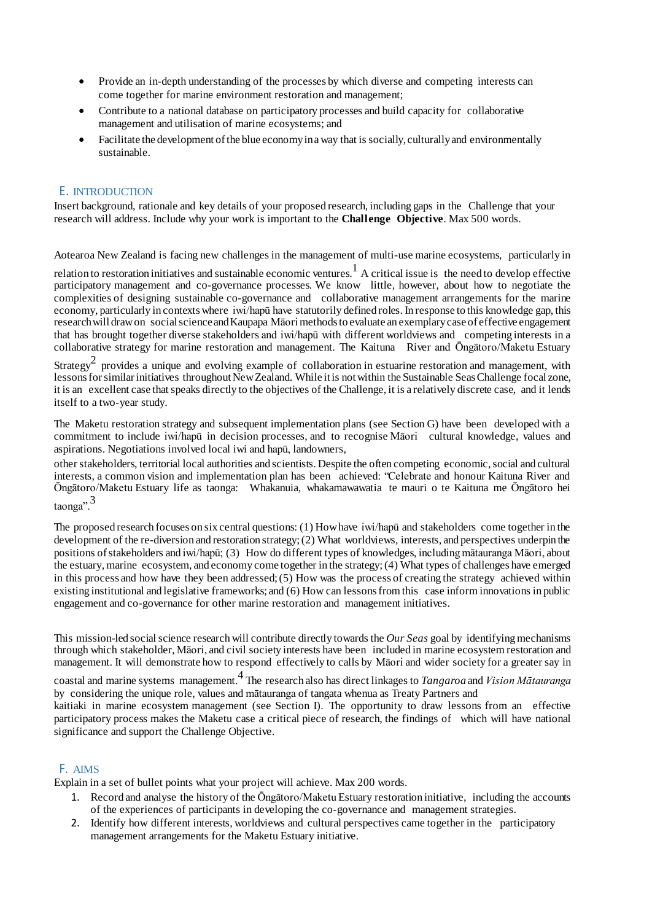- Provide an in-depth understanding of the processes by which diverse and competing interests can come together for marine environment restoration and management;
- Contribute to a national database on participatory processes and build capacity for collaborative management and utilisation of marine ecosystems; and
- Facilitate the development of the blue economy in a way that is socially, culturally and environmentally sustainable.

#### E. INTRODUCTION

Insert background, rationale and key details of your proposed research, including gaps in the Challenge that your research will address. Include why your work is important to the **Challenge Objective**. Max 500 words.

Aotearoa New Zealand is facing new challenges in the management of multi-use marine ecosystems, particularly in

relation to restoration initiatives and sustainable economic ventures.<sup>1</sup> A critical issue is the need to develop effective participatory management and co-governance processes. We know little, however, about how to negotiate the complexities of designing sustainable co-governance and collaborative management arrangements for the marine economy, particularly in contexts where iwi/hapū have statutorily defined roles. In response to this knowledge gap, this researchwill drawon socialscienceand Kaupapa Māorimethodsto evaluate an exemplarycase of effective engagement that has brought together diverse stakeholders and iwi/hapū with different worldviews and competing interests in a collaborative strategy for marine restoration and management. The Kaituna River and Ōngātoro/Maketu Estuary

Strategy<sup>2</sup> provides a unique and evolving example of collaboration in estuarine restoration and management, with lessons for similar initiatives throughout New Zealand. While it is not within the Sustainable Seas Challenge focal zone, it is an excellent case that speaks directly to the objectives of the Challenge, it is a relatively discrete case, and it lends itself to a two-year study.

The Maketu restoration strategy and subsequent implementation plans (see Section G) have been developed with a commitment to include iwi/hapū in decision processes, and to recognise Māori cultural knowledge, values and aspirations. Negotiations involved local iwi and hapū, landowners,

other stakeholders, territorial local authorities and scientists. Despite the often competing economic,social and cultural interests, a common vision and implementation plan has been achieved: "Celebrate and honour Kaituna River and Ōngātoro/Maketu Estuary life as taonga: Whakanuia, whakamawawatia te mauri o te Kaituna me Ōngātoro hei taonga".3

The proposed research focuses on six central questions: (1) Howhave iwi/hapū and stakeholders come together in the development of the re-diversion and restoration strategy; (2) What worldviews, interests, and perspectives underpin the positions ofstakeholders and iwi/hapū; (3) How do different types of knowledges, including mātauranga Māori, about the estuary, marine ecosystem, and economy come together in the strategy;(4) What types of challenges have emerged in this process and how have they been addressed; (5) How was the process of creating the strategy achieved within existing institutional and legislative frameworks; and (6) How can lessonsfrom this case inform innovations in public engagement and co-governance for other marine restoration and management initiatives.

This mission-led social science research will contribute directly towards the *Our Seas* goal by identifying mechanisms through which stakeholder, Māori, and civil society interests have been included in marine ecosystem restoration and management. It will demonstrate how to respond effectively to calls by Māori and wider society for a greater say in

coastal and marine systems management.4 The research also has direct linkages to *Tangaroa* and *Vision Mātauranga* by considering the unique role, values and mātauranga of tangata whenua as Treaty Partners and

kaitiaki in marine ecosystem management (see Section I). The opportunity to draw lessons from an effective participatory process makes the Maketu case a critical piece of research, the findings of which will have national significance and support the Challenge Objective.

## F. AIMS

Explain in a set of bullet points what your project will achieve. Max 200 words.

- 1. Record and analyse the history of the Ōngātoro/Maketu Estuary restoration initiative, including the accounts of the experiences of participants in developing the co-governance and management strategies.
- 2. Identify how different interests, worldviews and cultural perspectives came together in the participatory management arrangements for the Maketu Estuary initiative.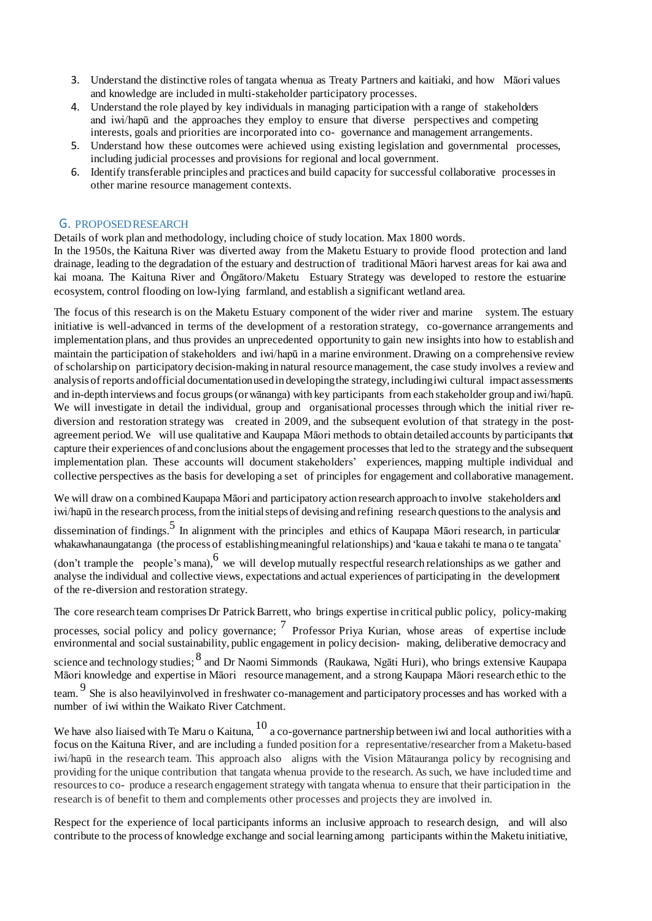- 3. Understand the distinctive roles of tangata whenua as Treaty Partners and kaitiaki, and how Māori values and knowledge are included in multi-stakeholder participatory processes.
- 4. Understand the role played by key individuals in managing participation with a range of stakeholders and iwi/hapū and the approaches they employ to ensure that diverse perspectives and competing interests, goals and priorities are incorporated into co- governance and management arrangements.
- 5. Understand how these outcomes were achieved using existing legislation and governmental processes, including judicial processes and provisions for regional and local government.
- 6. Identify transferable principles and practices and build capacity for successful collaborative processesin other marine resource management contexts.

#### G. PROPOSEDRESEARCH

Details of work plan and methodology, including choice of study location. Max 1800 words.

In the 1950s, the Kaituna River was diverted away from the Maketu Estuary to provide flood protection and land drainage, leading to the degradation of the estuary and destruction of traditional Māori harvest areas for kai awa and kai moana. The Kaituna River and Ōngātoro/Maketu Estuary Strategy was developed to restore the estuarine ecosystem, control flooding on low-lying farmland, and establish a significant wetland area.

The focus of this research is on the Maketu Estuary component of the wider river and marine system. The estuary initiative is well-advanced in terms of the development of a restoration strategy, co-governance arrangements and implementation plans, and thus provides an unprecedented opportunity to gain new insights into how to establish and maintain the participation of stakeholders and iwi/hapū in a marine environment. Drawing on a comprehensive review of scholarship on participatory decision-making in natural resourcemanagement, the case study involves a review and analysis of reports andofficial documentation usedin developing the strategy,including iwi cultural impact assessments and in-depth interviews and focus groups(orwānanga) with key participants from each stakeholder group and iwi/hapū. We will investigate in detail the individual, group and organisational processes through which the initial river rediversion and restoration strategy was created in 2009, and the subsequent evolution of that strategy in the postagreement period. We will use qualitative and Kaupapa Māori methods to obtain detailed accounts by participants that capture their experiences of and conclusions about the engagement processes that led to the strategy and the subsequent implementation plan. These accounts will document stakeholders' experiences, mapping multiple individual and collective perspectives as the basis for developing a set of principles for engagement and collaborative management.

We will draw on a combined Kaupapa Māori and participatory action research approach to involve stakeholders and iwi/hapū in the research process, from the initial steps of devising and refining research questionsto the analysis and

dissemination of findings.<sup>5</sup> In alignment with the principles and ethics of Kaupapa Māori research, in particular whakawhanaungatanga (the process of establishing meaningful relationships) and 'kaua e takahi te mana o te tangata'

(don't trample the people's mana), <sup>6</sup> we will develop mutually respectful research relationships as we gather and analyse the individual and collective views, expectations and actual experiences of participating in the development of the re-diversion and restoration strategy.

The core research team comprises Dr Patrick Barrett, who brings expertise in critical public policy, policy-making

processes, social policy and policy governance;  $<sup>7</sup>$  Professor Priya Kurian, whose areas of expertise include</sup> environmental and social sustainability, public engagement in policy decision- making, deliberative democracy and

science and technology studies;  $8$  and Dr Naomi Simmonds (Raukawa, Ngāti Huri), who brings extensive Kaupapa Māori knowledge and expertise in Māori resourcemanagement, and a strong Kaupapa Māori research ethic to the

team. <sup>9</sup> She is also heavilyinvolved in freshwater co-management and participatory processes and has worked with a number of iwi within the Waikato River Catchment.

We have also liaised with Te Maru o Kaituna,  $^{10}$  a co-governance partnership between iwi and local authorities with a focus on the Kaituna River, and are including a funded position for a representative/researcher from a Maketu-based iwi/hapū in the research team. This approach also aligns with the Vision Mātauranga policy by recognising and providing for the unique contribution that tangata whenua provide to the research. As such, we have included time and resourcesto co- produce a research engagement strategy with tangata whenua to ensure that their participation in the research is of benefit to them and complements other processes and projects they are involved in.

Respect for the experience of local participants informs an inclusive approach to research design, and will also contribute to the process of knowledge exchange and social learning among participants within the Maketu initiative,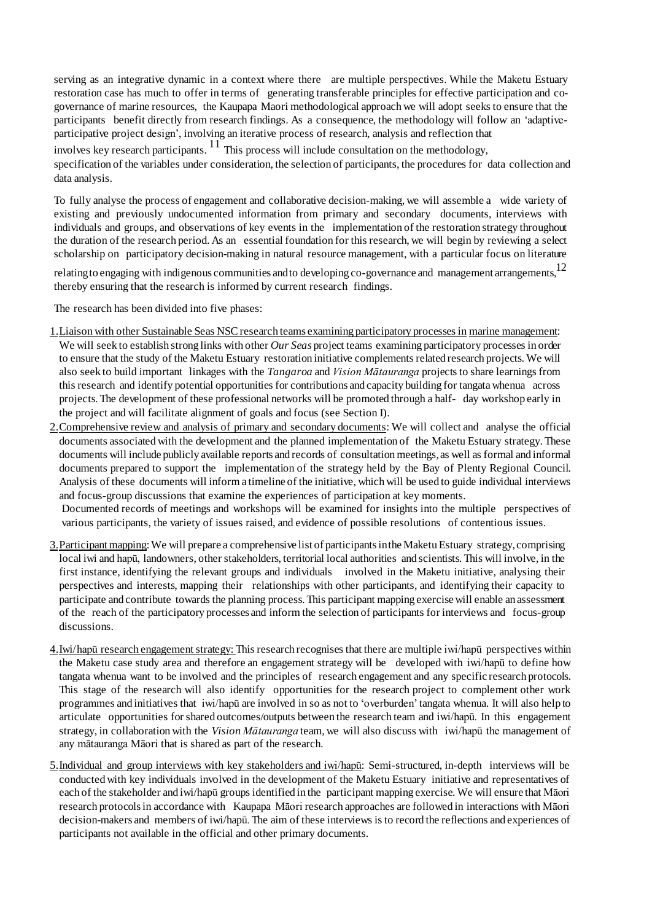serving as an integrative dynamic in a context where there are multiple perspectives. While the Maketu Estuary restoration case has much to offer in terms of generating transferable principles for effective participation and cogovernance of marine resources, the Kaupapa Maori methodological approach we will adopt seeks to ensure that the participants benefit directly from research findings. As a consequence, the methodology will follow an 'adaptiveparticipative project design', involving an iterative process of research, analysis and reflection that

involves key research participants.  $\frac{11}{11}$  This process will include consultation on the methodology, specification of the variables under consideration, the selection of participants, the procedures for data collection and data analysis.

To fully analyse the process of engagement and collaborative decision-making, we will assemble a wide variety of existing and previously undocumented information from primary and secondary documents, interviews with individuals and groups, and observations of key events in the implementation of the restoration strategy throughout the duration of the research period. As an essential foundation for this research, we will begin by reviewing a select scholarship on participatory decision-making in natural resource management, with a particular focus on literature

relating to engaging with indigenous communities and to developing co-governance and management arrangements.<sup>12</sup> thereby ensuring that the research is informed by current research findings.

The research has been divided into five phases:

- 1.Liaison with other Sustainable Seas NSCresearch teams examining participatory processes in marine management: We will seek to establish strong links with other *Our Seas* project teams examining participatory processes in order to ensure that the study of the Maketu Estuary restoration initiative complements related research projects. We will also seek to build important linkages with the *Tangaroa* and *Vision Mātauranga* projects to share learnings from this research and identify potential opportunities for contributions and capacity building for tangata whenua across projects. The development of these professional networks will be promoted through a half- day workshop early in the project and will facilitate alignment of goals and focus (see Section I).
- 2.Comprehensive review and analysis of primary and secondary documents: We will collect and analyse the official documents associated with the development and the planned implementation of the Maketu Estuary strategy. These documents will include publicly available reports and records of consultation meetings,as well as formal and informal documents prepared to support the implementation of the strategy held by the Bay of Plenty Regional Council. Analysis of these documents will inform a timeline of the initiative, which will be used to guide individual interviews and focus-group discussions that examine the experiences of participation at key moments.

Documented records of meetings and workshops will be examined for insights into the multiple perspectives of various participants, the variety of issues raised, and evidence of possible resolutions of contentious issues.

- 3. Participant mapping: We will prepare a comprehensive list of participants in the Maketu Estuary strategy, comprising local iwi and hapū, landowners, other stakeholders, territorial local authorities and scientists. This will involve, in the first instance, identifying the relevant groups and individuals involved in the Maketu initiative, analysing their perspectives and interests, mapping their relationships with other participants, and identifying their capacity to participate and contribute towards the planning process. This participant mapping exercise will enable an assessment of the reach of the participatory processes and inform the selection of participants for interviews and focus-group discussions.
- 4.Iwi/hapū research engagement strategy: This research recognises that there are multiple iwi/hapū perspectives within the Maketu case study area and therefore an engagement strategy will be developed with iwi/hapū to define how tangata whenua want to be involved and the principles of research engagement and any specific research protocols. This stage of the research will also identify opportunities for the research project to complement other work programmes and initiatives that iwi/hapū are involved in so as not to 'overburden'tangata whenua. It will also help to articulate opportunities for shared outcomes/outputs between the research team and iwi/hapū. In this engagement strategy, in collaboration with the *Vision Mātauranga* team, we will also discuss with iwi/hapū the management of any mātauranga Māori that is shared as part of the research.
- 5.Individual and group interviews with key stakeholders and iwi/hapū: Semi-structured, in-depth interviews will be conducted with key individuals involved in the development of the Maketu Estuary initiative and representatives of each of the stakeholder and iwi/hapū groups identified in the participant mapping exercise. We will ensure that Māori research protocolsin accordance with Kaupapa Māori research approaches are followed in interactions with Māori decision-makers and members of iwi/hapū. The aim of these interviews is to record the reflections and experiences of participants not available in the official and other primary documents.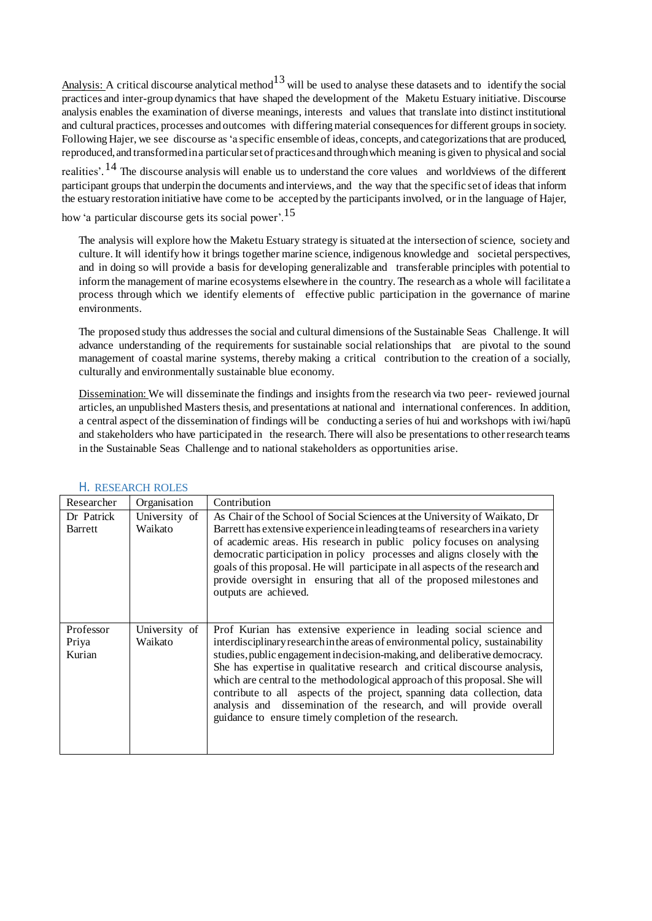Analysis: A critical discourse analytical method<sup>13</sup> will be used to analyse these datasets and to identify the social practices and inter-group dynamics that have shaped the development of the Maketu Estuary initiative. Discourse analysis enables the examination of diverse meanings, interests and values that translate into distinct institutional and cultural practices, processes and outcomes with differing material consequences for different groups in society. Following Hajer, we see discourse as 'a specific ensemble of ideas, concepts, and categorizationsthat are produced, reproduced, and transformedina particularset of practicesand throughwhich meaning is given to physical and social

realities'. <sup>14</sup> The discourse analysis will enable us to understand the core values and worldviews of the different participant groups that underpin the documents and interviews, and the way that the specific set of ideas that inform the estuary restoration initiative have come to be accepted by the participants involved, or in the language of Hajer,

how 'a particular discourse gets its social power'.15

The analysis will explore how the Maketu Estuary strategy is situated at the intersection of science, society and culture. It will identify how it brings together marine science, indigenous knowledge and societal perspectives, and in doing so will provide a basis for developing generalizable and transferable principles with potential to inform the management of marine ecosystems elsewhere in the country. The research as a whole will facilitate a process through which we identify elements of effective public participation in the governance of marine environments.

The proposed study thus addresses the social and cultural dimensions of the Sustainable Seas Challenge. It will advance understanding of the requirements for sustainable social relationships that are pivotal to the sound management of coastal marine systems, thereby making a critical contribution to the creation of a socially, culturally and environmentally sustainable blue economy.

Dissemination: We will disseminate the findings and insights from the research via two peer- reviewed journal articles, an unpublished Masters thesis, and presentations at national and international conferences. In addition, a central aspect of the dissemination of findings will be conducting a series of hui and workshops with iwi/hapū and stakeholders who have participated in the research. There will also be presentations to otherresearch teams in the Sustainable Seas Challenge and to national stakeholders as opportunities arise.

| Researcher                   | Organisation             | Contribution                                                                                                                                                                                                                                                                                                                                                                                                                                                                                                                                                                                                  |
|------------------------------|--------------------------|---------------------------------------------------------------------------------------------------------------------------------------------------------------------------------------------------------------------------------------------------------------------------------------------------------------------------------------------------------------------------------------------------------------------------------------------------------------------------------------------------------------------------------------------------------------------------------------------------------------|
| Dr Patrick                   | University of            | As Chair of the School of Social Sciences at the University of Waikato, Dr                                                                                                                                                                                                                                                                                                                                                                                                                                                                                                                                    |
| Barrett                      | Waikato                  | Barrett has extensive experience in leading teams of researchers in a variety<br>of academic areas. His research in public policy focuses on analysing<br>democratic participation in policy processes and aligns closely with the<br>goals of this proposal. He will participate in all aspects of the research and<br>provide oversight in ensuring that all of the proposed milestones and<br>outputs are achieved.                                                                                                                                                                                        |
| Professor<br>Priya<br>Kurian | University of<br>Waikato | Prof Kurian has extensive experience in leading social science and<br>interdisciplinary research in the areas of environmental policy, sustainability<br>studies, public engagement in decision-making, and deliberative democracy.<br>She has expertise in qualitative research and critical discourse analysis,<br>which are central to the methodological approach of this proposal. She will<br>contribute to all aspects of the project, spanning data collection, data<br>analysis and dissemination of the research, and will provide overall<br>guidance to ensure timely completion of the research. |

#### H. RESEARCH ROLES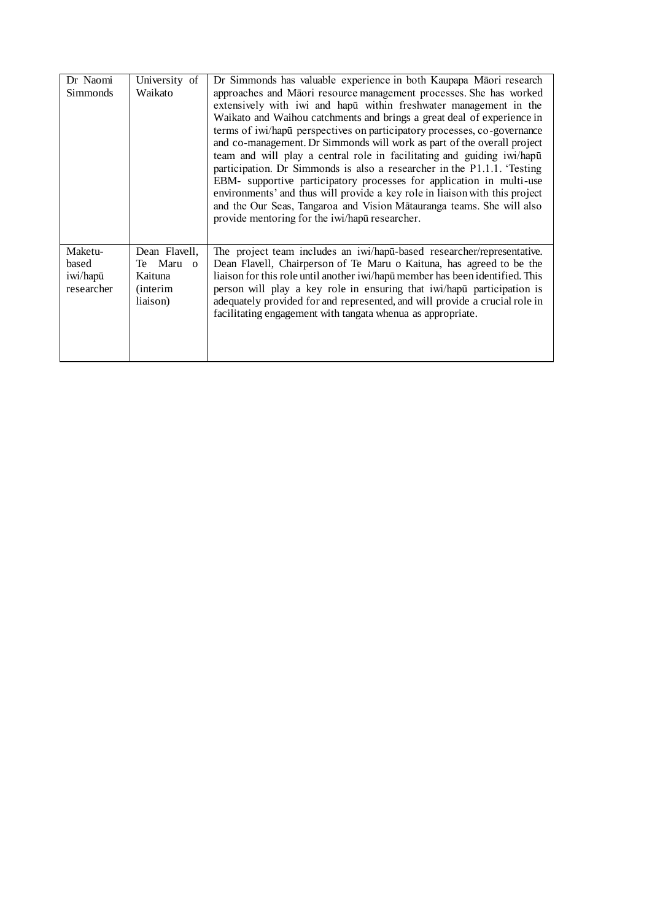| Dr Naomi                                   | University of                                                         | Dr Simmonds has valuable experience in both Kaupapa Māori research                                                                                                                                                                                                                                                                                                                                                                                                                                                                                                                                                                                                                                                                                                                                             |
|--------------------------------------------|-----------------------------------------------------------------------|----------------------------------------------------------------------------------------------------------------------------------------------------------------------------------------------------------------------------------------------------------------------------------------------------------------------------------------------------------------------------------------------------------------------------------------------------------------------------------------------------------------------------------------------------------------------------------------------------------------------------------------------------------------------------------------------------------------------------------------------------------------------------------------------------------------|
| Simmonds                                   | Waikato                                                               | approaches and Māori resource management processes. She has worked<br>extensively with iwi and hapū within freshwater management in the<br>Waikato and Waihou catchments and brings a great deal of experience in<br>terms of iwi/hapu perspectives on participatory processes, co-governance<br>and co-management. Dr Simmonds will work as part of the overall project<br>team and will play a central role in facilitating and guiding iwi/hapu<br>participation. Dr Simmonds is also a researcher in the P1.1.1. Testing<br>EBM- supportive participatory processes for application in multi-use<br>environments' and thus will provide a key role in liaison with this project<br>and the Our Seas, Tangaroa and Vision Matauranga teams. She will also<br>provide mentoring for the iwi/hapu researcher. |
| Maketu-<br>based<br>iwi/hapū<br>researcher | Dean Flavell,<br>Te Maru o<br>Kaituna<br><i>(interim)</i><br>liaison) | The project team includes an iwi/hapū-based researcher/representative.<br>Dean Flavell, Chairperson of Te Maru o Kaituna, has agreed to be the<br>liaison for this role until another iwi/hapū member has been identified. This<br>person will play a key role in ensuring that iwi/hapu participation is<br>adequately provided for and represented, and will provide a crucial role in<br>facilitating engagement with tangata whenua as appropriate.                                                                                                                                                                                                                                                                                                                                                        |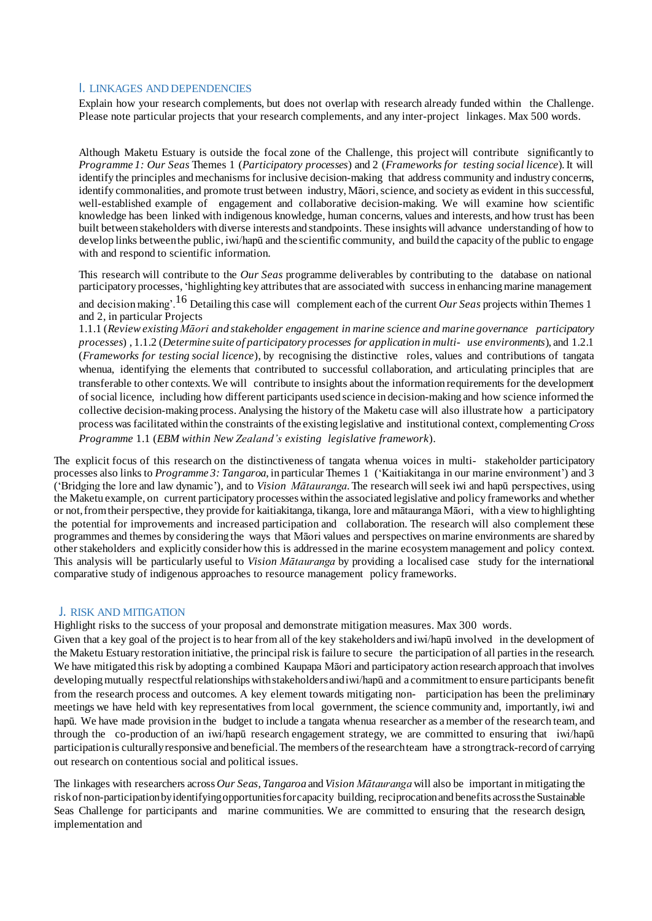#### I. LINKAGES AND DEPENDENCIES

Explain how your research complements, but does not overlap with research already funded within the Challenge. Please note particular projects that your research complements, and any inter-project linkages. Max 500 words.

Although Maketu Estuary is outside the focal zone of the Challenge, this project will contribute significantly to *Programme 1: Our Seas* Themes 1 (*Participatory processes*) and 2 (*Frameworks for testing social licence*).It will identify the principles and mechanisms for inclusive decision-making that address community and industry concerns, identify commonalities, and promote trust between industry, Māori, science, and society as evident in this successful, well-established example of engagement and collaborative decision-making. We will examine how scientific knowledge has been linked with indigenous knowledge, human concerns, values and interests, and how trust has been built between stakeholders with diverse interests and standpoints. These insights will advance understanding of how to develop links between the public, iwi/hapū and the scientific community, and build the capacity of the public to engage with and respond to scientific information.

This research will contribute to the *Our Seas* programme deliverables by contributing to the database on national participatory processes, 'highlighting key attributesthat are associated with success in enhancing marine management

and decision making'.16 Detailing this case will complement each of the current *Our Seas* projects within Themes <sup>1</sup> and 2, in particular Projects

1.1.1 (*Reviewexisting Māori and stakeholder engagement in marine science and marine governance participatory processes*) , 1.1.2 (*Determine suite of participatory processes for application in multi- use environments*), and 1.2.1 (*Frameworks for testing social licence*), by recognising the distinctive roles, values and contributions of tangata whenua, identifying the elements that contributed to successful collaboration, and articulating principles that are transferable to other contexts. We will contribute to insights about the information requirements for the development of social licence, including how different participants used science in decision-making and how science informed the collective decision-making process. Analysing the history of the Maketu case will also illustrate how a participatory process was facilitated within the constraints of the existing legislative and institutional context, complementing*Cross Programme* 1.1 (*EBM within New Zealand's existing legislative framework*).

The explicit focus of this research on the distinctiveness of tangata whenua voices in multi- stakeholder participatory processes also links to *Programme 3: Tangaroa*, in particular Themes 1 ('Kaitiakitanga in our marine environment') and 3 ('Bridging the lore and law dynamic'), and to *Vision Mātauranga*. The research will seek iwi and hapū perspectives, using the Maketu example, on current participatory processes within the associated legislative and policy frameworks and whether or not,fromtheir perspective, they provide for kaitiakitanga, tikanga, lore and mātaurangaMāori, with a view to highlighting the potential for improvements and increased participation and collaboration. The research will also complement these programmes and themes by considering the ways that Māori values and perspectives onmarine environments are shared by other stakeholders and explicitly consider how this is addressed in the marine ecosystem management and policy context. This analysis will be particularly useful to *Vision Mātauranga* by providing a localised case study for the international comparative study of indigenous approaches to resource management policy frameworks.

#### J. RISK AND MITIGATION

Highlight risks to the success of your proposal and demonstrate mitigation measures. Max 300 words.

Given that a key goal of the project is to hear from all of the key stakeholders and iwi/hapū involved in the development of the Maketu Estuary restoration initiative, the principal risk is failure to secure the participation of all parties in the research. We have mitigated this risk by adopting a combined Kaupapa Māori and participatory action research approach that involves developing mutually respectful relationships withstakeholdersand iwi/hapū and a commitment to ensure participants benefit from the research process and outcomes. A key element towards mitigating non- participation has been the preliminary meetings we have held with key representatives from local government, the science community and, importantly, iwi and hapū. We have made provision in the budget to include a tangata whenua researcher as a member of the research team, and through the co-production of an iwi/hapū research engagement strategy, we are committed to ensuring that iwi/hapū participation is culturallyresponsive and beneficial.The members of the researchteam have a strong track-record of carrying out research on contentious social and political issues.

The linkages with researchers across *Our Seas*, *Tangaroa* and*Vision Mātauranga* will also be important inmitigating the riskof non-participationbyidentifying opportunitiesforcapacity building,reciprocation and benefits acrossthe Sustainable Seas Challenge for participants and marine communities. We are committed to ensuring that the research design, implementation and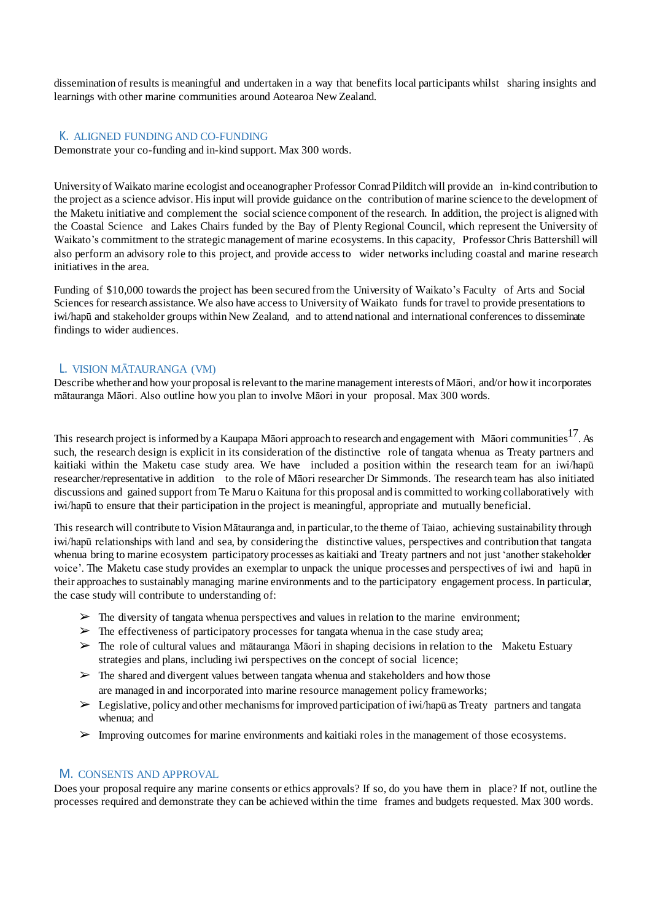dissemination of results is meaningful and undertaken in a way that benefits local participants whilst sharing insights and learnings with other marine communities around Aotearoa New Zealand.

#### K. ALIGNED FUNDING AND CO-FUNDING

Demonstrate your co-funding and in-kind support. Max 300 words.

University of Waikato marine ecologist and oceanographer Professor Conrad Pilditch will provide an in-kind contribution to the project as a science advisor. His input will provide guidance on the contribution of marine science to the development of the Maketu initiative and complement the social science component of the research. In addition, the project is aligned with the Coastal Science and Lakes Chairs funded by the Bay of Plenty Regional Council, which represent the University of Waikato's commitment to the strategic management of marine ecosystems. In this capacity, Professor Chris Battershill will also perform an advisory role to this project, and provide access to wider networks including coastal and marine research initiatives in the area.

Funding of \$10,000 towards the project has been secured from the University of Waikato's Faculty of Arts and Social Sciences for research assistance. We also have access to University of Waikato funds for travel to provide presentations to iwi/hapū and stakeholder groups within New Zealand, and to attend national and international conferences to disseminate findings to wider audiences.

#### L. VISION MĀTAURANGA (VM)

Describe whether and how your proposal is relevant to the marine management interests of Māori, and/or how it incorporates mātauranga Māori. Also outline how you plan to involve Māori in your proposal. Max 300 words.

This research project is informed by a Kaupapa Māori approach to research and engagement with Māori communities  $^{17}$ . As such, the research design is explicit in its consideration of the distinctive role of tangata whenua as Treaty partners and kaitiaki within the Maketu case study area. We have included a position within the research team for an iwi/hapū researcher/representative in addition to the role of Māori researcher Dr Simmonds. The research team has also initiated discussions and gained support from Te Maru o Kaituna for this proposal and is committed to working collaboratively with iwi/hapū to ensure that their participation in the project is meaningful, appropriate and mutually beneficial.

This research will contribute to Vision Mātauranga and, in particular,to the theme of Taiao, achieving sustainability through iwi/hapū relationships with land and sea, by considering the distinctive values, perspectives and contribution that tangata whenua bring to marine ecosystem participatory processes as kaitiaki and Treaty partners and not just 'another stakeholder voice'. The Maketu case study provides an exemplar to unpack the unique processes and perspectives of iwi and hapū in their approaches to sustainably managing marine environments and to the participatory engagement process. In particular, the case study will contribute to understanding of:

- $\triangleright$  The diversity of tangata whenua perspectives and values in relation to the marine environment;
- $\triangleright$  The effectiveness of participatory processes for tangata whenua in the case study area;
- $\triangleright$  The role of cultural values and mātauranga Māori in shaping decisions in relation to the Maketu Estuary strategies and plans, including iwi perspectives on the concept of social licence;
- $\triangleright$  The shared and divergent values between tangata whenua and stakeholders and how those are managed in and incorporated into marine resource management policy frameworks;
- $\triangleright$  Legislative, policy and other mechanisms for improved participation of iwi/hapū as Treaty partners and tangata whenua; and
- ➢ Improving outcomes for marine environments and kaitiaki roles in the management of those ecosystems.

#### M. CONSENTS AND APPROVAL

Does your proposal require any marine consents or ethics approvals? If so, do you have them in place? If not, outline the processes required and demonstrate they can be achieved within the time frames and budgets requested. Max 300 words.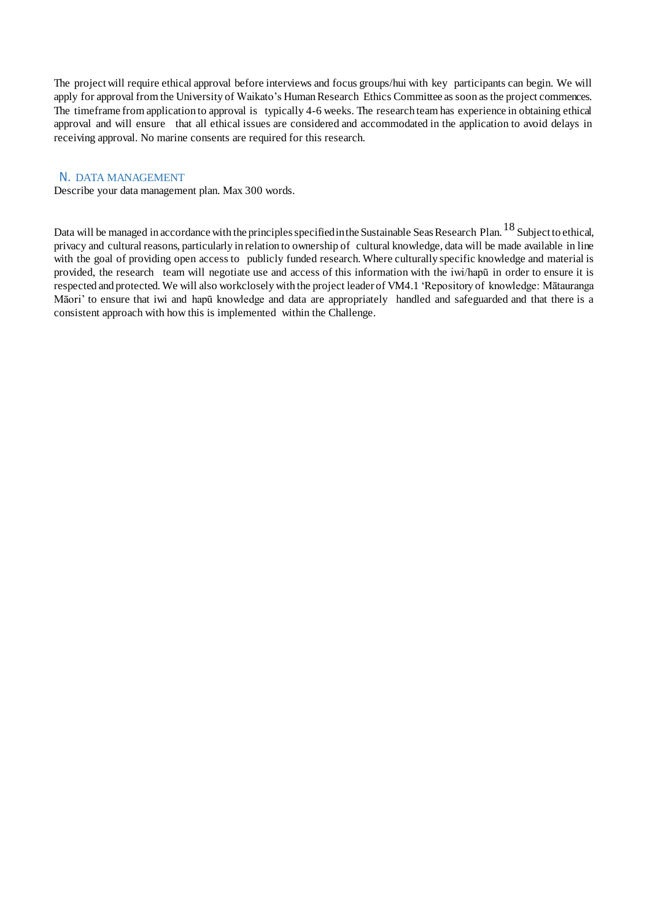The projectwill require ethical approval before interviews and focus groups/hui with key participants can begin. We will apply for approval from the University of Waikato's Human Research Ethics Committee as soon as the project commences. The timeframe from application to approval is typically 4-6 weeks. The research team has experience in obtaining ethical approval and will ensure that all ethical issues are considered and accommodated in the application to avoid delays in receiving approval. No marine consents are required for this research.

#### N. DATA MANAGEMENT

Describe your data management plan. Max 300 words.

Data will be managed in accordance with the principles specified in the Sustainable Seas Research Plan.<sup>18</sup> Subject to ethical, privacy and cultural reasons, particularly in relation to ownership of cultural knowledge, data will be made available in line with the goal of providing open access to publicly funded research. Where culturally specific knowledge and material is provided, the research team will negotiate use and access of this information with the iwi/hapū in order to ensure it is respected and protected. We will also workclosely with the project leader of VM4.1 'Repository of knowledge: Mātauranga Māori' to ensure that iwi and hapū knowledge and data are appropriately handled and safeguarded and that there is a consistent approach with how this is implemented within the Challenge.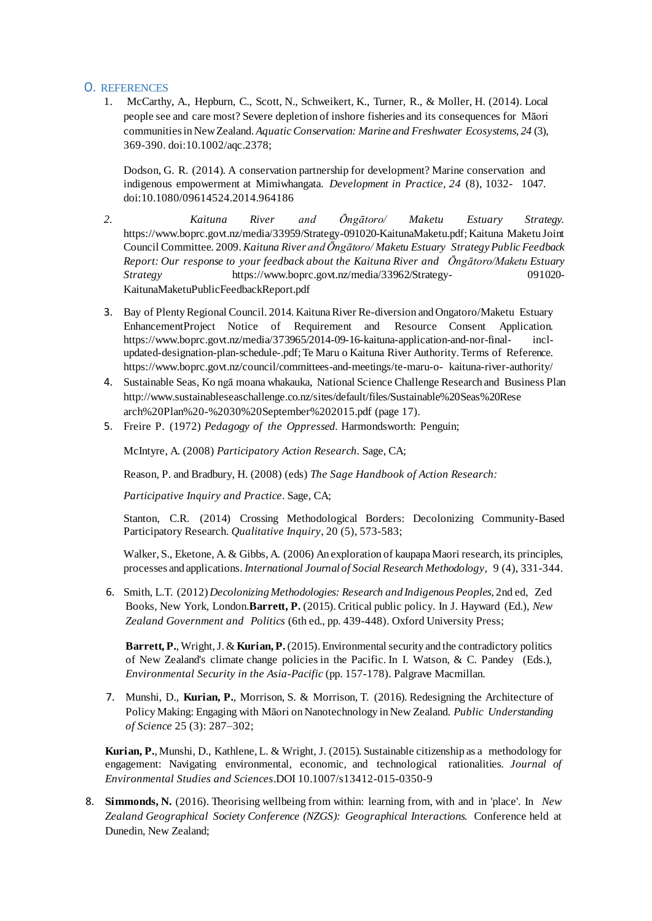#### O. REFERENCES

1. McCarthy, A., Hepburn, C., Scott, N., Schweikert, K., Turner, R., & Moller, H. (2014). Local people see and care most? Severe depletion of inshore fisheries and its consequences for Māori communitiesin New Zealand. *AquaticConservation: Marine and Freshwater Ecosystems, 24* (3), 369-390. doi:10.1002/aqc.2378;

Dodson, G. R. (2014). A conservation partnership for development? Marine conservation and indigenous empowerment at Mimiwhangata. *Development in Practice, 24* (8), 1032- 1047. doi:10.1080/09614524.2014.964186

- *2. Kaituna River and Ōngātoro/ Maketu Estuary Strategy.* https:[//www.boprc.govt.nz/media/33959/Strategy-091020-KaitunaMaketu.pdf;](http://www.boprc.govt.nz/media/33959/Strategy-091020-KaitunaMaketu.pdf%3B)Kaituna Maketu Joint Council Committee. 2009. *Kaituna River and Ōngātoro/ Maketu Estuary Strategy PublicFeedback Report: Our response to your feedback about the Kaituna River and Ōngātoro/Maketu Estuary Strategy* https:[//www.boprc.govt.nz/media/33962/Strategy-](http://www.boprc.govt.nz/media/33962/Strategy-) 091020- KaitunaMaketuPublicFeedbackReport.pdf
- 3. Bay of Plenty Regional Council. 2014. Kaituna River Re-diversion and Ongatoro/Maketu Estuary EnhancementProject Notice of Requirement and Resource Consent Application. https:[//www.boprc.govt.nz/media/373965/2014-09-16-kaituna-application-and-nor-final-](http://www.boprc.govt.nz/media/373965/2014-09-16-kaituna-application-and-nor-final-) inclupdated-designation-plan-schedule-.pdf;Te Maru o Kaituna River Authority. Terms of Reference. https:[//www.boprc.govt.nz/council/committees-and-meetings/te-maru-o-](http://www.boprc.govt.nz/council/committees-and-meetings/te-maru-o-) kaituna-river-authority/
- 4. Sustainable Seas, Ko ngā moana whakauka, National Science Challenge Research and Business Pla[n](http://www.sustainableseaschallenge.co.nz/sites/default/files/Sustainable%20Seas%20Rese) <http://www.sustainableseaschallenge.co.nz/sites/default/files/Sustainable%20Seas%20Rese> arch%20Plan%20-%2030%20September%202015.pdf (page 17).
- 5. Freire P. (1972) *Pedagogy of the Oppressed.* Harmondsworth: Penguin;

McIntyre, A. (2008) *Participatory Action Research.* Sage, CA;

Reason, P. and Bradbury, H. (2008) (eds) *The Sage Handbook of Action Research:*

*Participative Inquiry and Practice*. Sage, CA;

Stanton, C.R. (2014) Crossing Methodological Borders: Decolonizing Community-Based Participatory Research. *Qualitative Inquiry*, 20 (5), 573-583;

Walker, S., Eketone, A. & Gibbs, A. (2006) An exploration of kaupapa Maori research, its principles, processes and applications. *International Journal of Social Research Methodology,* 9 (4), 331-344.

6. Smith, L.T. (2012) *Decolonizing Methodologies: Research and Indigenous Peoples,* 2nd ed, Zed Books, New York, London.**Barrett, P.** (2015). Critical public policy. In J. Hayward (Ed.), *New Zealand Government and Politics* (6th ed., pp. 439-448). Oxford University Press;

**Barrett, P.**, Wright,J. & **Kurian, P.**(2015). Environmental security and the contradictory politics of New Zealand's climate change policies in the Pacific. In I. Watson, & C. Pandey (Eds.), *Environmental Security in the Asia-Pacific* (pp. 157-178). Palgrave Macmillan.

7. Munshi, D., **Kurian, P.**, Morrison, S. & Morrison, T. (2016). Redesigning the Architecture of Policy Making: Engaging with Māori on Nanotechnology in New Zealand. *Public Understanding of Science* 25 (3): 287–302;

**Kurian, P.**, Munshi, D., Kathlene, L. & Wright, J. (2015). Sustainable citizenship as a methodology for engagement: Navigating environmental, economic, and technological rationalities. *Journal of Environmental Studies and Sciences*.DOI 10.1007/s13412-015-0350-9

8. **Simmonds, N.** (2016). Theorising wellbeing from within: learning from, with and in 'place'. In *New Zealand Geographical Society Conference (NZGS): Geographical Interactions.* Conference held at Dunedin, New Zealand;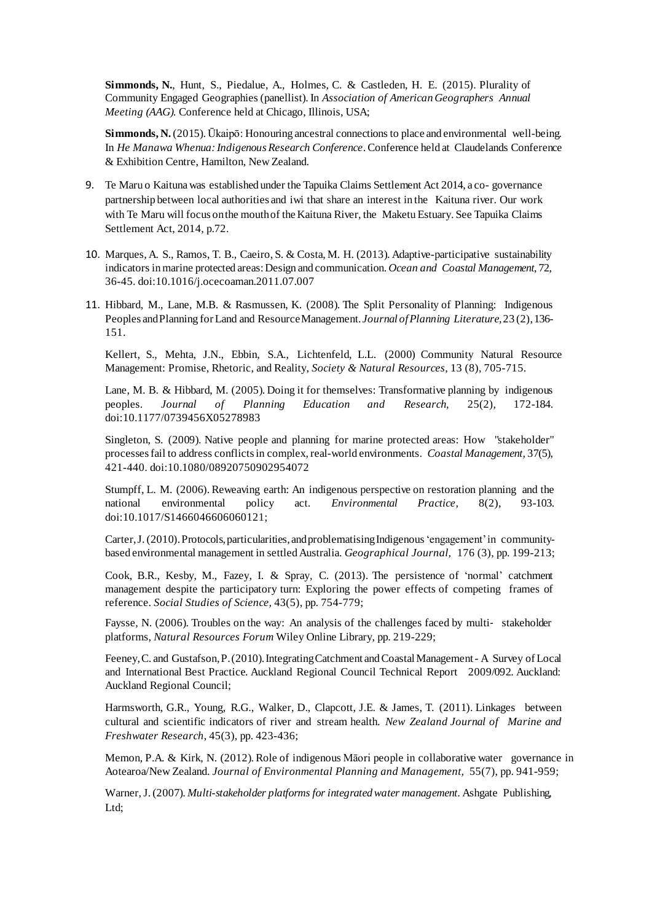**Simmonds, N.**, Hunt, S., Piedalue, A., Holmes, C. & Castleden, H. E. (2015). Plurality of Community Engaged Geographies (panellist). In *Association of American Geographers Annual Meeting (AAG).* Conference held at Chicago, Illinois, USA;

**Simmonds, N.**(2015). Ūkaipō: Honouring ancestral connections to place and environmental well-being. In *He Manawa Whenua:IndigenousResearch Conference*.Conference held at Claudelands Conference & Exhibition Centre, Hamilton, New Zealand.

- 9. Te Maru o Kaituna was established under the Tapuika Claims Settlement Act 2014, a co- governance partnership between local authorities and iwi that share an interest in the Kaituna river. Our work with Te Maru will focus on the mouth of the Kaituna River, the Maketu Estuary. See Tapuika Claims Settlement Act, 2014, p.72.
- 10. Marques, A. S., Ramos, T. B., Caeiro, S. & Costa, M. H. (2013). Adaptive-participative sustainability indicators inmarine protected areas:Design and communication. *Ocean and Coastal Management*, 72, 36-45. doi:10.1016/j.ocecoaman.2011.07.007
- 11. Hibbard, M., Lane, M.B. & Rasmussen, K. (2008). The Split Personality of Planning: Indigenous Peoples andPlanning for Land and ResourceManagement.*Journal ofPlanning Literature,*23 (2),136- 151.

Kellert, S., Mehta, J.N., Ebbin, S.A., Lichtenfeld, L.L. (2000) Community Natural Resource Management: Promise, Rhetoric, and Reality, *Society & Natural Resources,* 13 (8), 705-715.

Lane, M. B. & Hibbard, M. (2005). Doing it for themselves: Transformative planning by indigenous peoples. *Journal of Planning Education and Research,* 25(2), 172-184. doi:10.1177/0739456X05278983

Singleton, S. (2009). Native people and planning for marine protected areas: How "stakeholder" processesfail to address conflictsin complex, real-world environments. *Coastal Management,* 37(5), 421-440. doi:10.1080/08920750902954072

Stumpff, L. M. (2006). Reweaving earth: An indigenous perspective on restoration planning and the national environmental policy act. *Environmental Practice,* 8(2), 93-103. doi:10.1017/S1466046606060121;

Carter,J.(2010).Protocols,particularities, andproblematising Indigenous'engagement'in communitybased environmental management in settled Australia. *Geographical Journal,* 176 (3), pp. 199-213;

Cook, B.R., Kesby, M., Fazey, I. & Spray, C. (2013). The persistence of 'normal' catchment management despite the participatory turn: Exploring the power effects of competing frames of reference. *Social Studies of Science,* 43(5), pp. 754-779;

Faysse, N. (2006). Troubles on the way: An analysis of the challenges faced by multi-stakeholder platforms, *Natural Resources Forum* Wiley Online Library, pp. 219-229;

Feeney, C. and Gustafson, P. (2010). Integrating Catchment and Coastal Management - A Survey of Local and International Best Practice. Auckland Regional Council Technical Report 2009/092. Auckland: Auckland Regional Council;

Harmsworth, G.R., Young, R.G., Walker, D., Clapcott, J.E. & James, T. (2011). Linkages between cultural and scientific indicators of river and stream health. *New Zealand Journal of Marine and Freshwater Research*, 45(3), pp. 423-436;

Memon, P.A. & Kirk, N. (2012). Role of indigenous Māori people in collaborative water governance in Aotearoa/New Zealand. *Journal of Environmental Planning and Management,* 55(7), pp. 941-959;

Warner,J.(2007). *Multi-stakeholder platforms for integratedwater management.* Ashgate Publishing, Ltd;